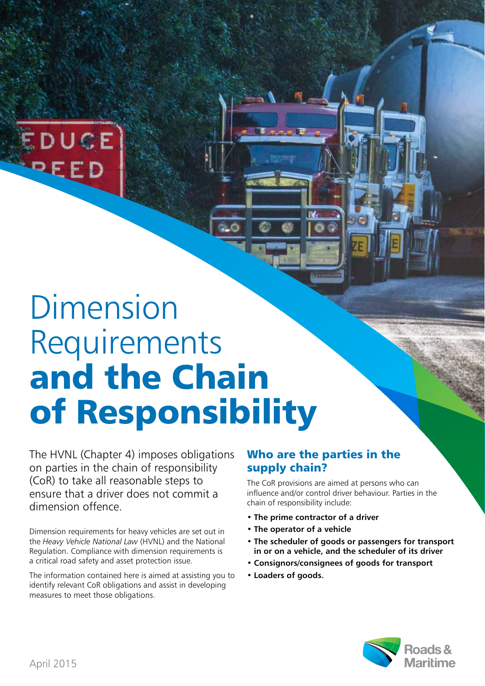

## Dimension Requirements **and the Chain of Responsibility**

The HVNL (Chapter 4) imposes obligations on parties in the chain of responsibility (CoR) to take all reasonable steps to ensure that a driver does not commit a dimension offence.

Dimension requirements for heavy vehicles are set out in the *Heavy Vehicle National Law* (HVNL) and the National Regulation. Compliance with dimension requirements is a critical road safety and asset protection issue.

The information contained here is aimed at assisting you to identify relevant CoR obligations and assist in developing measures to meet those obligations.

## **Who are the parties in the supply chain?**

The CoR provisions are aimed at persons who can influence and/or control driver behaviour. Parties in the chain of responsibility include:

- The prime contractor of a driver
- The operator of a vehicle
- The scheduler of goods or passengers for transport in or on a vehicle, and the scheduler of its driver
- Consignors/consignees of goods for transport
- Loaders of goods.